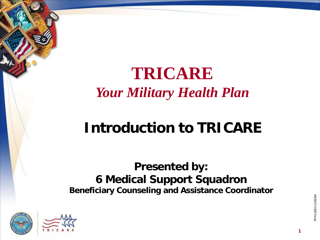#### **TRICARE** *Your Military Health Plan*

### **Introduction to TRICARE**

#### **Presented by: 6 Medical Support Squadron Beneficiary Counseling and Assistance Coordinator**





P411BEC11063W PP411BEC11063W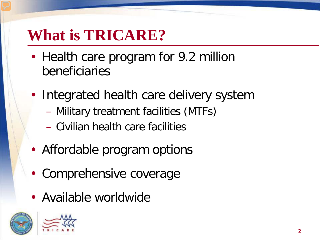## **What is TRICARE?**

- Health care program for 9.2 million beneficiaries
- Integrated health care delivery system
	- Military treatment facilities (MTFs)
	- Civilian health care facilities
- Affordable program options
- Comprehensive coverage
- Available worldwide



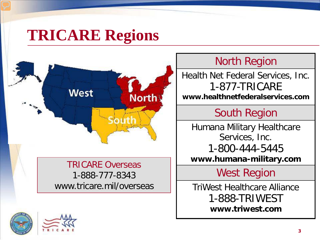## **TRICARE Regions**



#### TRICARE Overseas 1-888-777-8343 www.tricare.mil/overseas

#### North Region

Health Net Federal Services, Inc. 1-877-TRICARE **www.healthnetfederalservices.com**

#### South Region

Humana Military Healthcare Services, Inc. 1-800-444-5445 **www.humana-military.com**

West Region

TriWest Healthcare Alliance 1-888-TRIWEST **www.triwest.com**

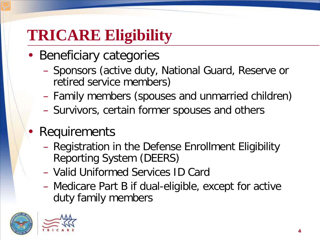# **TRICARE Eligibility**

- Beneficiary categories
	- Sponsors (active duty, National Guard, Reserve or retired service members)
	- Family members (spouses and unmarried children)
	- Survivors, certain former spouses and others
- Requirements
	- Registration in the Defense Enrollment Eligibility Reporting System (DEERS)
	- Valid Uniformed Services ID Card
	- Medicare Part B if dual-eligible, except for active duty family members



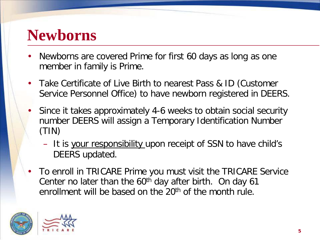#### **Newborns**

- Newborns are covered Prime for first 60 days as long as one member in family is Prime.
- Take Certificate of Live Birth to nearest Pass & ID (Customer Service Personnel Office) to have newborn registered in DEERS.
- Since it takes approximately 4-6 weeks to obtain social security number DEERS will assign a Temporary Identification Number (TIN)
	- It is your responsibility upon receipt of SSN to have child's DEERS updated.
- To enroll in TRICARE Prime you must visit the TRICARE Service Center no later than the  $60<sup>th</sup>$  day after birth. On day 61 enrollment will be based on the 20<sup>th</sup> of the month rule.



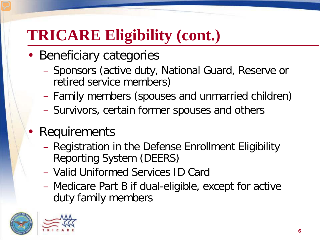# **TRICARE Eligibility (cont.)**

- Beneficiary categories
	- Sponsors (active duty, National Guard, Reserve or retired service members)
	- Family members (spouses and unmarried children)
	- Survivors, certain former spouses and others
- Requirements
	- Registration in the Defense Enrollment Eligibility Reporting System (DEERS)
	- Valid Uniformed Services ID Card
	- Medicare Part B if dual-eligible, except for active duty family members



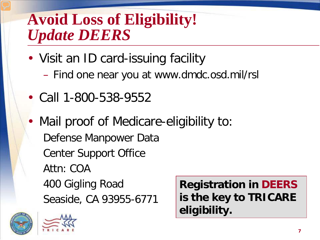#### **Avoid Loss of Eligibility!**  *Update DEERS*

- Visit an ID card-issuing facility – Find one near you at www.dmdc.osd.mil/rsl
- Call 1-800-538-9552
- Mail proof of Medicare-eligibility to: Defense Manpower Data Center Support Office Attn: COA 400 Gigling Road Seaside, CA 93955-6771 **Registration in DEERS is the key to TRICARE eligibility.**





**7**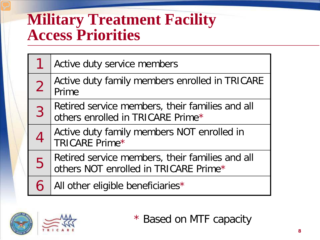#### **Military Treatment Facility Access Priorities**

|                | Active duty service members                                                              |
|----------------|------------------------------------------------------------------------------------------|
|                | Active duty family members enrolled in TRICARE<br>Prime                                  |
| $\overline{3}$ | Retired service members, their families and all<br>others enrolled in TRICARE Prime*     |
|                | Active duty family members NOT enrolled in<br>TRICARE Prime*                             |
| 5              | Retired service members, their families and all<br>others NOT enrolled in TRICARE Prime* |
|                | All other eligible beneficiaries*                                                        |



\* Based on MTF capacity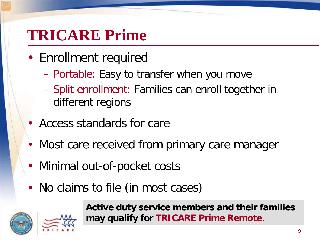## **TRICARE Prime**

- Enrollment required
	- Portable: Easy to transfer when you move
	- Split enrollment: Families can enroll together in different regions
- Access standards for care
- Most care received from primary care manager
- Minimal out-of-pocket costs
- No claims to file (in most cases)





**Active duty service members and their families may qualify for TRICARE Prime Remote**.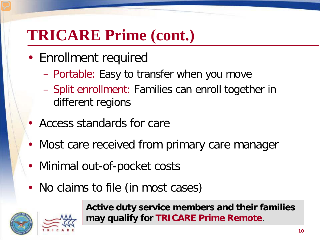## **TRICARE Prime (cont.)**

- Enrollment required
	- Portable: Easy to transfer when you move
	- Split enrollment: Families can enroll together in different regions
- Access standards for care
- Most care received from primary care manager
- Minimal out-of-pocket costs
- No claims to file (in most cases)



**Active duty service members and their families may qualify for TRICARE Prime Remote**.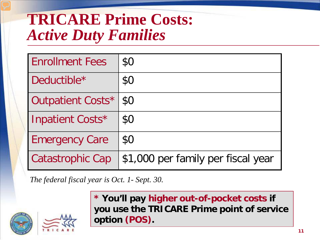#### **TRICARE Prime Costs:** *Active Duty Families*

| <b>Enrollment Fees</b>  | \$0                                |
|-------------------------|------------------------------------|
| Deductible*             | \$0                                |
| Outpatient Costs*       | \$0                                |
| Inpatient Costs*        | \$0                                |
| <b>Emergency Care</b>   | \$0                                |
| <b>Catastrophic Cap</b> | \$1,000 per family per fiscal year |

*The federal fiscal year is Oct. 1- Sept. 30.*



**\* You'll pay higher out-of-pocket costs if you use the TRICARE Prime point of service option (POS).**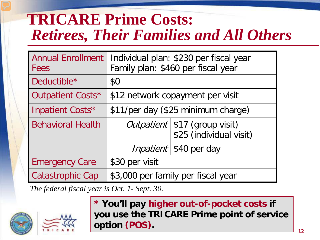### **TRICARE Prime Costs:**  *Retirees, Their Families and All Others*

| <b>Annual Enrollment</b><br>Fees | Individual plan: \$230 per fiscal year<br>Family plan: \$460 per fiscal year |                                                            |  |
|----------------------------------|------------------------------------------------------------------------------|------------------------------------------------------------|--|
| Deductible*                      | \$0                                                                          |                                                            |  |
| Outpatient Costs*                | \$12 network copayment per visit                                             |                                                            |  |
| Inpatient Costs*                 | \$11/per day (\$25 minimum charge)                                           |                                                            |  |
| <b>Behavioral Health</b>         |                                                                              | Outpatient   \$17 (group visit)<br>\$25 (individual visit) |  |
|                                  |                                                                              | <i>Inpatient</i>   \$40 per day                            |  |
| <b>Emergency Care</b>            | \$30 per visit                                                               |                                                            |  |
| <b>Catastrophic Cap</b>          | \$3,000 per family per fiscal year                                           |                                                            |  |

*The federal fiscal year is Oct. 1- Sept. 30.*



**\* You'll pay higher out-of-pocket costs if you use the TRICARE Prime point of service option (POS).**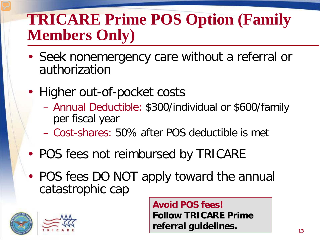## **TRICARE Prime POS Option (Family Members Only)**

- Seek nonemergency care without a referral or authorization
- Higher out-of-pocket costs
	- Annual Deductible: \$300/individual or \$600/family per fiscal year
	- Cost-shares: 50% after POS deductible is met
- POS fees not reimbursed by TRICARE
- POS fees DO NOT apply toward the annual catastrophic cap



**Avoid POS fees! Follow TRICARE Prime referral guidelines.**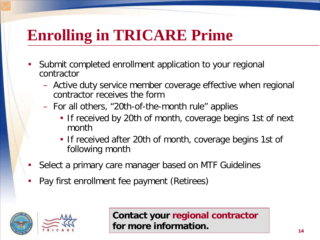## **Enrolling in TRICARE Prime**

- Submit completed enrollment application to your regional contractor
	- Active duty service member coverage effective when regional contractor receives the form
	- For all others, "20th-of-the-month rule" applies
		- If received by 20th of month, coverage begins 1st of next month
		- If received after 20th of month, coverage begins 1st of following month
- Select a primary care manager based on MTF Guidelines
- Pay first enrollment fee payment (Retirees)



**Contact your regional contractor for more information.**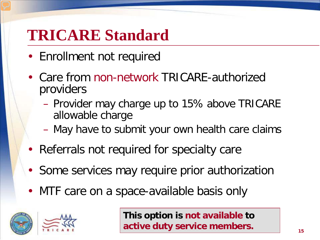#### **TRICARE Standard**

- Enrollment not required
- Care from non-network TRICARE-authorized providers
	- Provider may charge up to 15% above TRICARE allowable charge
	- May have to submit your own health care claims
- Referrals not required for specialty care
- Some services may require prior authorization
- MTF care on a space-available basis only





**This option is not available to active duty service members.**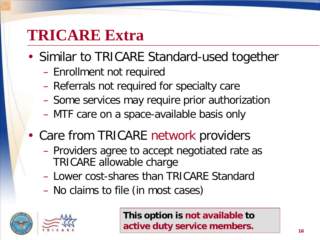#### **TRICARE Extra**

- Similar to TRICARE Standard-used together
	- Enrollment not required
	- Referrals not required for specialty care
	- Some services may require prior authorization
	- MTF care on a space-available basis only
- Care from TRICARE network providers
	- Providers agree to accept negotiated rate as TRICARE allowable charge
	- Lower cost-shares than TRICARE Standard
	- No claims to file (in most cases)





**This option is not available to active duty service members.**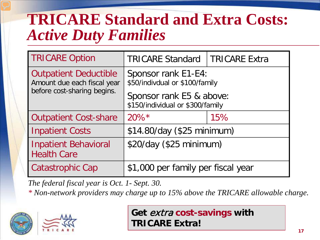#### **TRICARE Standard and Extra Costs:** *Active Duty Families*

| <b>TRICARE Option</b>                                       | <b>TRICARE Standard</b>                                      | <b>TRICARE Extra</b> |
|-------------------------------------------------------------|--------------------------------------------------------------|----------------------|
| <b>Outpatient Deductible</b><br>Amount due each fiscal year | Sponsor rank E1-E4:<br>\$50/indivdual or \$100/family        |                      |
| before cost-sharing begins.                                 | Sponsor rank E5 & above:<br>\$150/individual or \$300/family |                      |
| <b>Outpatient Cost-share</b>                                | $20\%$ <sup>*</sup>                                          | 15%                  |
| <b>Inpatient Costs</b>                                      | \$14.80/day (\$25 minimum)                                   |                      |
| <b>Inpatient Behavioral</b><br><b>Health Care</b>           | \$20/day (\$25 minimum)                                      |                      |
| Catastrophic Cap                                            | \$1,000 per family per fiscal year                           |                      |

*The federal fiscal year is Oct. 1- Sept. 30.*

*\* Non-network providers may charge up to 15% above the TRICARE allowable charge.*





**Get** extra **cost-savings with TRICARE Extra!**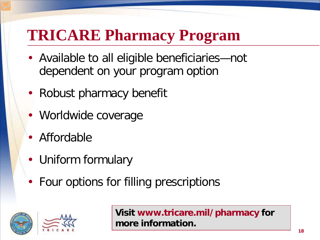## **TRICARE Pharmacy Program**

- Available to all eligible beneficiaries—not dependent on your program option
- Robust pharmacy benefit
- Worldwide coverage
- Affordable
- Uniform formulary
- Four options for filling prescriptions





**Visit www.tricare.mil/pharmacy for more information.**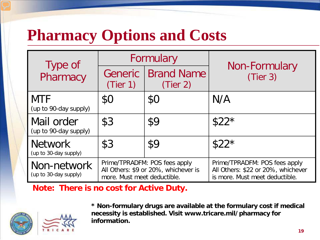## **Pharmacy Options and Costs**

| Type of                                 | Formulary                                                                                            |                               |                                                                                                       |
|-----------------------------------------|------------------------------------------------------------------------------------------------------|-------------------------------|-------------------------------------------------------------------------------------------------------|
| Pharmacy                                | Generic<br>(Tier 1)                                                                                  | <b>Brand Name</b><br>(Tier 2) | Non-Formulary<br>(Tier 3)                                                                             |
| <b>MTF</b><br>(up to 90-day supply)     | \$0                                                                                                  | \$0                           | N/A                                                                                                   |
| Mail order<br>(up to 90-day supply)     | \$3                                                                                                  | \$9                           | $$22*$                                                                                                |
| <b>Network</b><br>(up to 30-day supply) | \$3                                                                                                  | \$9                           | $$22*$                                                                                                |
| Non-network<br>(up to 30-day supply)    | Prime/TPRADFM: POS fees apply<br>All Others: \$9 or 20%, whichever is<br>more. Must meet deductible. |                               | Prime/TPRADFM: POS fees apply<br>All Others: \$22 or 20%, whichever<br>is more. Must meet deductible. |

**Note: There is no cost for Active Duty.** 





**\* Non-formulary drugs are available at the formulary cost if medical necessity is established. Visit www.tricare.mil/pharmacy for information.**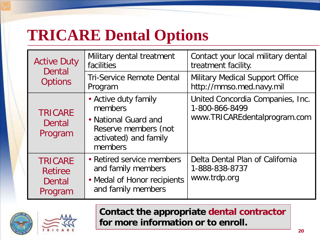## **TRICARE Dental Options**

| <b>Active Duty</b><br>Dental                          | Military dental treatment<br>facilities                                                                             | Contact your local military dental<br>treatment facility.                          |
|-------------------------------------------------------|---------------------------------------------------------------------------------------------------------------------|------------------------------------------------------------------------------------|
| <b>Options</b>                                        | <b>Tri-Service Remote Dental</b><br>Program                                                                         | <b>Military Medical Support Office</b><br>http://mmso.med.navy.mil                 |
| <b>TRICARE</b><br>Dental<br>Program                   | • Active duty family<br>members<br>• National Guard and<br>Reserve members (not<br>activated) and family<br>members | United Concordia Companies, Inc.<br>1-800-866-8499<br>www.TRICAREdentalprogram.com |
| <b>TRICARE</b><br><b>Retiree</b><br>Dental<br>Program | • Retired service members<br>and family members<br>• Medal of Honor recipients<br>and family members                | Delta Dental Plan of California<br>1-888-838-8737<br>www.trdp.org                  |





#### **Contact the appropriate dental contractor for more information or to enroll.**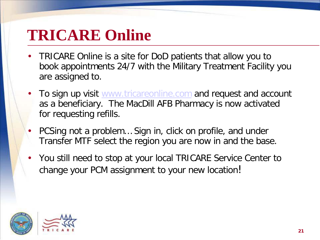### **TRICARE Online**

- TRICARE Online is a site for DoD patients that allow you to book appointments 24/7 with the Military Treatment Facility you are assigned to.
- To sign up visit [www.tricareonline.com](http://www.tricareonline.com/) and request and account as a beneficiary. The MacDill AFB Pharmacy is now activated for requesting refills.
- PCSing not a problem… Sign in, click on profile, and under Transfer MTF select the region you are now in and the base.
- You still need to stop at your local TRICARE Service Center to change your PCM assignment to your new location!

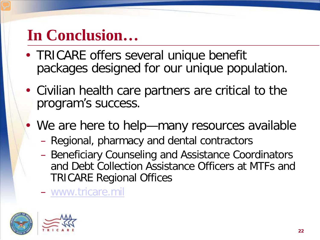## **In Conclusion…**

- TRICARE offers several unique benefit packages designed for our unique population.
- Civilian health care partners are critical to the program's success.
- We are here to help—many resources available
	- Regional, pharmacy and dental contractors
	- Beneficiary Counseling and Assistance Coordinators and Debt Collection Assistance Officers at MTFs and TRICARE Regional Offices
	- [www.tricare.mil](http://www.tricare.mil/)